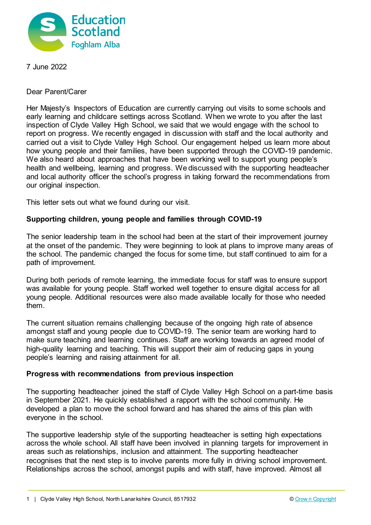

7 June 2022

Dear Parent/Carer

Her Majesty's Inspectors of Education are currently carrying out visits to some schools and early learning and childcare settings across Scotland. When we wrote to you after the last inspection of Clyde Valley High School, we said that we would engage with the school to report on progress. We recently engaged in discussion with staff and the local authority and carried out a visit to Clyde Valley High School. Our engagement helped us learn more about how young people and their families, have been supported through the COVID-19 pandemic. We also heard about approaches that have been working well to support young people's health and wellbeing, learning and progress. We discussed with the supporting headteacher and local authority officer the school's progress in taking forward the recommendations from our original inspection.

This letter sets out what we found during our visit.

## **Supporting children, young people and families through COVID-19**

The senior leadership team in the school had been at the start of their improvement journey at the onset of the pandemic. They were beginning to look at plans to improve many areas of the school. The pandemic changed the focus for some time, but staff continued to aim for a path of improvement.

During both periods of remote learning, the immediate focus for staff was to ensure support was available for young people. Staff worked well together to ensure digital access for all young people. Additional resources were also made available locally for those who needed them.

The current situation remains challenging because of the ongoing high rate of absence amongst staff and young people due to COVID-19. The senior team are working hard to make sure teaching and learning continues. Staff are working towards an agreed model of high-quality learning and teaching. This will support their aim of reducing gaps in young people's learning and raising attainment for all.

## **Progress with recommendations from previous inspection**

The supporting headteacher joined the staff of Clyde Valley High School on a part-time basis in September 2021. He quickly established a rapport with the school community. He developed a plan to move the school forward and has shared the aims of this plan with everyone in the school.

The supportive leadership style of the supporting headteacher is setting high expectations across the whole school. All staff have been involved in planning targets for improvement in areas such as relationships, inclusion and attainment. The supporting headteacher recognises that the next step is to involve parents more fully in driving school improvement. Relationships across the school, amongst pupils and with staff, have improved. Almost all